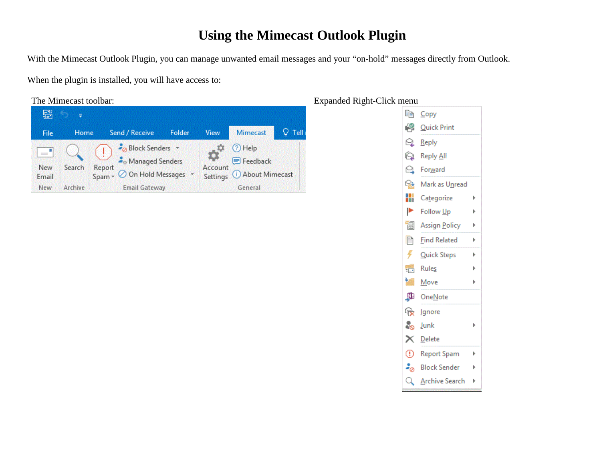## **Using the Mimecast Outlook Plugin**

With the Mimecast Outlook Plugin, you can manage unwanted email messages and your "on-hold" messages directly from Outlook.

When the plugin is installed, you will have access to:

The Mimecast toolbar: Expanded Right-Click menu



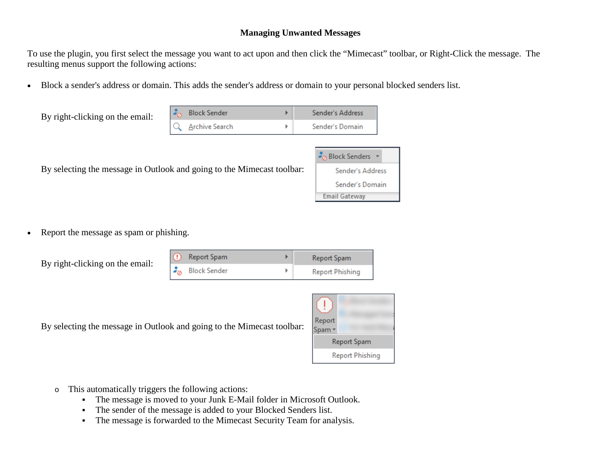## **Managing Unwanted Messages**

To use the plugin, you first select the message you want to act upon and then click the "Mimecast" toolbar, or Right-Click the message. The resulting menus support the following actions:

• Block a sender's address or domain. This adds the sender's address or domain to your personal blocked senders list.

| By right-clicking on the email: | $\frac{1}{2}$ Block Sender | Sender's Address |
|---------------------------------|----------------------------|------------------|
|                                 | Archive Search             | Sender's Domain  |

By selecting the message in Outlook and going to the Mimecast toolbar:

| <b>P</b> <sub>O</sub> Block Senders |  |  |
|-------------------------------------|--|--|
| Sender's Address                    |  |  |
| Sender's Domain                     |  |  |
| Email Gateway                       |  |  |

• Report the message as spam or phishing.

|  |  | By right-clicking on the email: |
|--|--|---------------------------------|
|  |  |                                 |

| ω | Report Spam               | Report Spam     |
|---|---------------------------|-----------------|
|   | $z_{\alpha}$ Block Sender | Report Phishing |

By selecting the message in Outlook and going to the Mimecast toolbar:



- o This automatically triggers the following actions:
	- The message is moved to your Junk E-Mail folder in Microsoft Outlook.
	- The sender of the message is added to your Blocked Senders list.
	- The message is forwarded to the Mimecast Security Team for analysis.